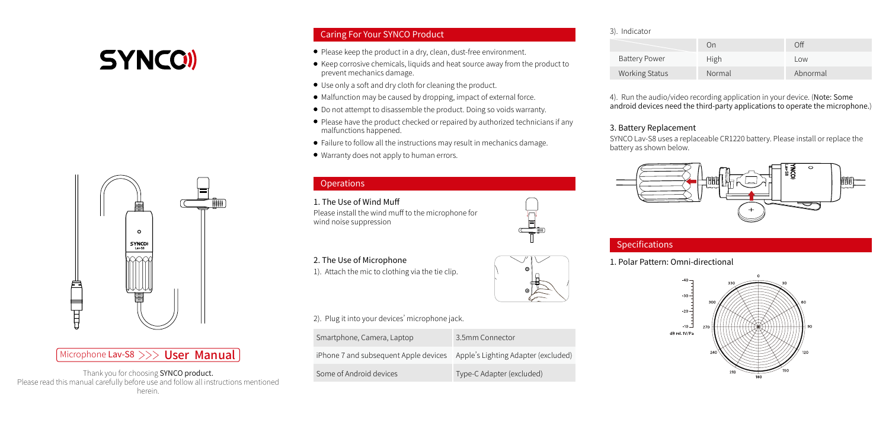# **SYNCOI**



# Microphone Lav-S8 >>> User Manual

Thank you for choosing SYNCO product. Please read this manual carefully before use and follow all instructions mentioned herein.

# Caring For Your SYNCO Product

- Please keep the product in a dry, clean, dust-free environment.
- Keep corrosive chemicals, liquids and heat source away from the product to prevent mechanics damage.
- Use only a soft and dry cloth for cleaning the product.
- Malfunction may be caused by dropping, impact of external force.
- Do not attempt to disassemble the product. Doing so voids warranty.
- Please have the product checked or repaired by authorized technicians if any malfunctions happened.
- Failure to follow all the instructions may result in mechanics damage.
- Warranty does not apply to human errors.

# **Operations**

## 1. The Use of Wind Muff Please install the wind muff to the microphone for wind noise suppression

2. The Use of Microphone 1). Attach the mic to clothing via the tie clip.



## 2). Plug it into your devices' microphone jack.

| Smartphone, Camera, Laptop            | 3.5mm Connector                     |
|---------------------------------------|-------------------------------------|
| iPhone 7 and subsequent Apple devices | Apple's Lighting Adapter (excluded) |
| Some of Android devices               | Type-C Adapter (excluded)           |

#### 3). Indicator

|                       | On     | nfi      |
|-----------------------|--------|----------|
| <b>Battery Power</b>  | High   | l ow     |
| <b>Working Status</b> | Normal | Abnormal |

4). Run the audio/video recording application in your device. (Note: Some android devices need the third-party applications to operate the microphone.)

## 3. Battery Replacement

SYNCO Lav-S8 uses a replaceable CR1220 battery. Please install or replace the battery as shown below.



# Specifications

1. Polar Pattern: Omni-directional